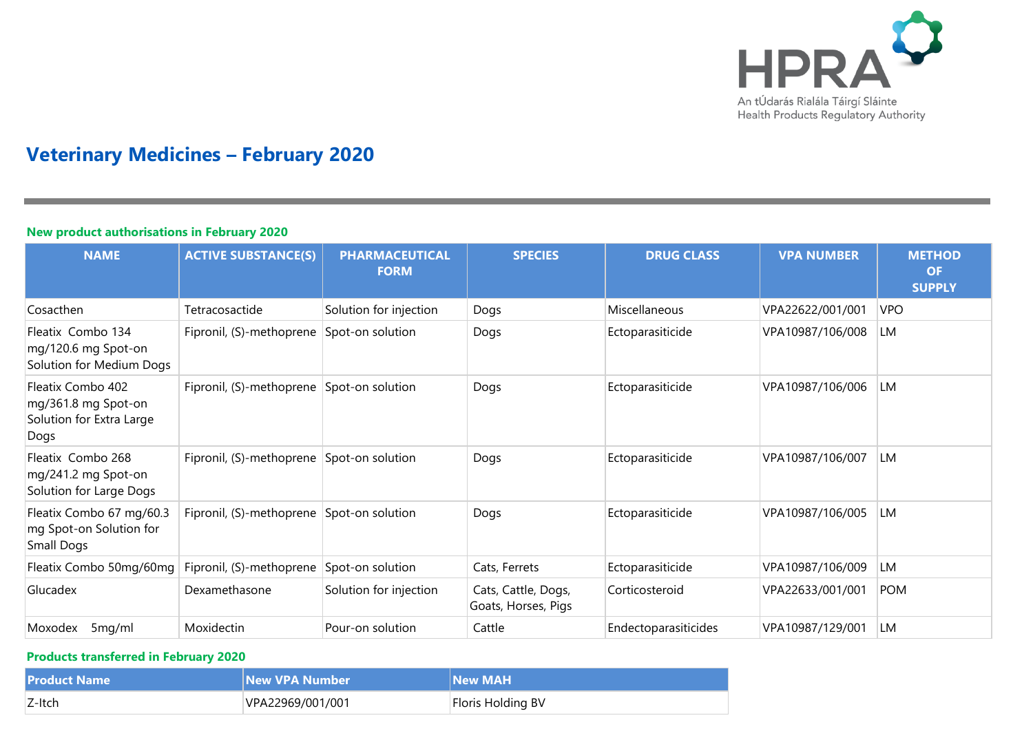

# **Veterinary Medicines – February 2020**

## **New product authorisations in February 2020**

| <b>NAME</b>                                                                  | <b>ACTIVE SUBSTANCE(S)</b>                | <b>PHARMACEUTICAL</b><br><b>FORM</b> | <b>SPECIES</b>                             | <b>DRUG CLASS</b>    | <b>VPA NUMBER</b> | <b>METHOD</b><br><b>OF</b><br><b>SUPPLY</b> |
|------------------------------------------------------------------------------|-------------------------------------------|--------------------------------------|--------------------------------------------|----------------------|-------------------|---------------------------------------------|
| Cosacthen                                                                    | Tetracosactide                            | Solution for injection               | Dogs                                       | Miscellaneous        | VPA22622/001/001  | <b>VPO</b>                                  |
| Fleatix Combo 134<br>mg/120.6 mg Spot-on<br>Solution for Medium Dogs         | Fipronil, (S)-methoprene                  | Spot-on solution                     | Dogs                                       | Ectoparasiticide     | VPA10987/106/008  | LM                                          |
| Fleatix Combo 402<br>mg/361.8 mg Spot-on<br>Solution for Extra Large<br>Dogs | Fipronil, (S)-methoprene Spot-on solution |                                      | Dogs                                       | Ectoparasiticide     | VPA10987/106/006  | LM                                          |
| Fleatix Combo 268<br>mg/241.2 mg Spot-on<br>Solution for Large Dogs          | Fipronil, (S)-methoprene Spot-on solution |                                      | Dogs                                       | Ectoparasiticide     | VPA10987/106/007  | LM                                          |
| Fleatix Combo 67 mg/60.3<br>mg Spot-on Solution for<br>Small Dogs            | Fipronil, (S)-methoprene Spot-on solution |                                      | Dogs                                       | Ectoparasiticide     | VPA10987/106/005  | <b>LM</b>                                   |
| Fleatix Combo 50mg/60mg                                                      | Fipronil, (S)-methoprene                  | Spot-on solution                     | Cats, Ferrets                              | Ectoparasiticide     | VPA10987/106/009  | LM                                          |
| Glucadex                                                                     | Dexamethasone                             | Solution for injection               | Cats, Cattle, Dogs,<br>Goats, Horses, Pigs | Corticosteroid       | VPA22633/001/001  | <b>POM</b>                                  |
| 5mg/ml<br>Moxodex                                                            | Moxidectin                                | Pour-on solution                     | Cattle                                     | Endectoparasiticides | VPA10987/129/001  | LM                                          |

#### **Products transferred in February 2020**

| <b>Product Name</b> | <b>New VPA Number</b> | <b>New MAH</b>    |
|---------------------|-----------------------|-------------------|
| $Z$ -Itch           | VPA22969/001/001      | Floris Holding BV |